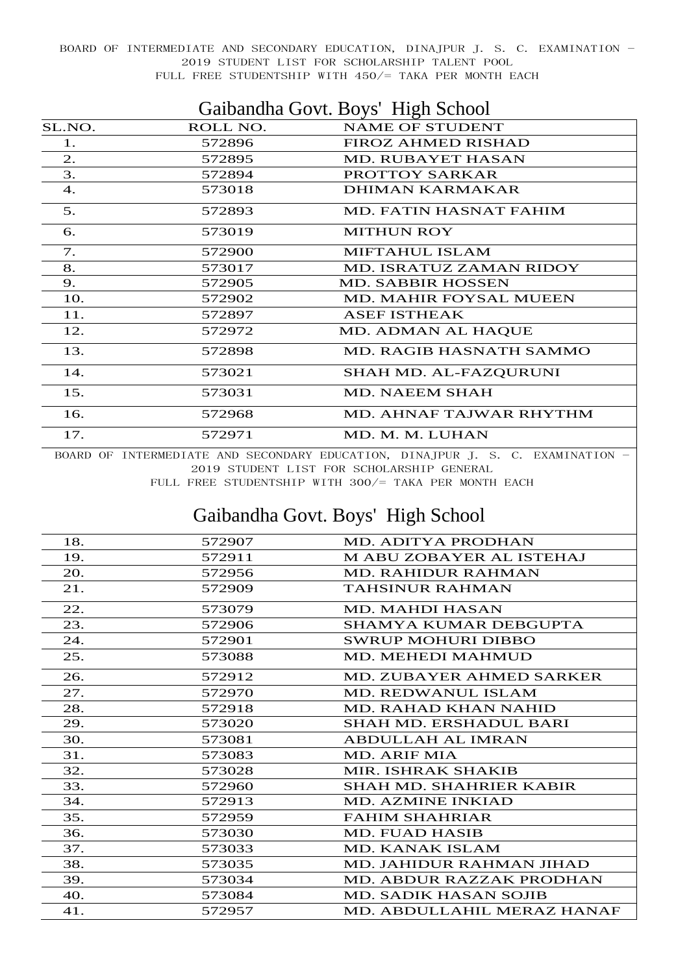| Gaibandha Govt. Boys' High School |          |                                |
|-----------------------------------|----------|--------------------------------|
| SL.NO.                            | ROLL NO. | <b>NAME OF STUDENT</b>         |
| 1.                                | 572896   | <b>FIROZ AHMED RISHAD</b>      |
| 2.                                | 572895   | <b>MD. RUBAYET HASAN</b>       |
| 3.                                | 572894   | PROTTOY SARKAR                 |
| $\overline{4}$ .                  | 573018   | DHIMAN KARMAKAR                |
| 5.                                | 572893   | MD. FATIN HASNAT FAHIM         |
| 6.                                | 573019   | <b>MITHUN ROY</b>              |
| 7.                                | 572900   | <b>MIFTAHUL ISLAM</b>          |
| 8.                                | 573017   | <b>MD. ISRATUZ ZAMAN RIDOY</b> |
| 9.                                | 572905   | <b>MD. SABBIR HOSSEN</b>       |
| 10.                               | 572902   | <b>MD. MAHIR FOYSAL MUEEN</b>  |
| 11.                               | 572897   | <b>ASEF ISTHEAK</b>            |
| 12.                               | 572972   | MD. ADMAN AL HAQUE             |
| 13.                               | 572898   | <b>MD. RAGIB HASNATH SAMMO</b> |
| 14.                               | 573021   | SHAH MD. AL-FAZQURUNI          |
| 15.                               | 573031   | <b>MD. NAEEM SHAH</b>          |
| 16.                               | 572968   | MD. AHNAF TAJWAR RHYTHM        |
| 17.                               | 572971   | MD. M. M. LUHAN                |

BOARD OF INTERMEDIATE AND SECONDARY EDUCATION, DINAJPUR J. S. C. EXAMINATION -2019 STUDENT LIST FOR SCHOLARSHIP GENERAL

FULL FREE STUDENTSHIP WITH 300/= TAKA PER MONTH EACH

## Gaibandha Govt. Boys' High School

| 18. | 572907 | <b>MD. ADITYA PRODHAN</b>       |
|-----|--------|---------------------------------|
| 19. | 572911 | <b>MABU ZOBAYER AL ISTEHAJ</b>  |
| 20. | 572956 | <b>MD. RAHIDUR RAHMAN</b>       |
| 21. | 572909 | <b>TAHSINUR RAHMAN</b>          |
| 22. | 573079 | <b>MD. MAHDI HASAN</b>          |
| 23. | 572906 | SHAMYA KUMAR DEBGUPTA           |
| 24. | 572901 | <b>SWRUP MOHURI DIBBO</b>       |
| 25. | 573088 | <b>MD. MEHEDI MAHMUD</b>        |
| 26. | 572912 | <b>MD. ZUBAYER AHMED SARKER</b> |
| 27. | 572970 | <b>MD. REDWANUL ISLAM</b>       |
| 28. | 572918 | <b>MD. RAHAD KHAN NAHID</b>     |
| 29. | 573020 | <b>SHAH MD. ERSHADUL BARI</b>   |
| 30. | 573081 | <b>ABDULLAH AL IMRAN</b>        |
| 31. | 573083 | MD. ARIF MIA                    |
| 32. | 573028 | MIR. ISHRAK SHAKIB              |
| 33. | 572960 | <b>SHAH MD. SHAHRIER KABIR</b>  |
| 34. | 572913 | <b>MD. AZMINE INKIAD</b>        |
| 35. | 572959 | <b>FAHIM SHAHRIAR</b>           |
| 36. | 573030 | <b>MD. FUAD HASIB</b>           |
| 37. | 573033 | MD. KANAK ISLAM                 |
| 38. | 573035 | MD. JAHIDUR RAHMAN JIHAD        |
| 39. | 573034 | <b>MD. ABDUR RAZZAK PRODHAN</b> |
| 40. | 573084 | <b>MD. SADIK HASAN SOJIB</b>    |
| 41. | 572957 | MD. ABDULLAHIL MERAZ HANAF      |